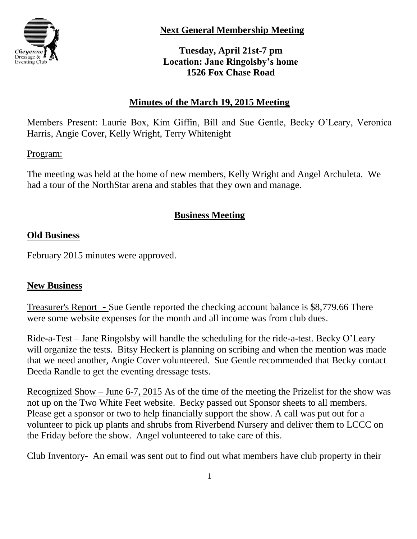

**Next General Membership Meeting**

**Tuesday, April 21st-7 pm Location: Jane Ringolsby's home 1526 Fox Chase Road**

# **Minutes of the March 19, 2015 Meeting**

Members Present: Laurie Box, Kim Giffin, Bill and Sue Gentle, Becky O'Leary, Veronica Harris, Angie Cover, Kelly Wright, Terry Whitenight

## Program:

The meeting was held at the home of new members, Kelly Wright and Angel Archuleta. We had a tour of the NorthStar arena and stables that they own and manage.

# **Business Meeting**

# **Old Business**

February 2015 minutes were approved.

## **New Business**

Treasurer's Report **-** Sue Gentle reported the checking account balance is \$8,779.66 There were some website expenses for the month and all income was from club dues.

Ride-a-Test – Jane Ringolsby will handle the scheduling for the ride-a-test. Becky O'Leary will organize the tests. Bitsy Heckert is planning on scribing and when the mention was made that we need another, Angie Cover volunteered. Sue Gentle recommended that Becky contact Deeda Randle to get the eventing dressage tests.

Recognized Show – June 6-7, 2015 As of the time of the meeting the Prizelist for the show was not up on the Two White Feet website. Becky passed out Sponsor sheets to all members. Please get a sponsor or two to help financially support the show. A call was put out for a volunteer to pick up plants and shrubs from Riverbend Nursery and deliver them to LCCC on the Friday before the show. Angel volunteered to take care of this.

Club Inventory- An email was sent out to find out what members have club property in their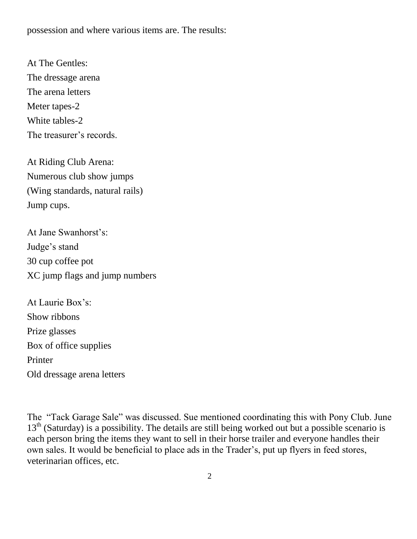possession and where various items are. The results:

At The Gentles: The dressage arena The arena letters Meter tapes-2 White tables-2 The treasurer's records.

At Riding Club Arena: Numerous club show jumps (Wing standards, natural rails) Jump cups.

At Jane Swanhorst's: Judge's stand 30 cup coffee pot XC jump flags and jump numbers

At Laurie Box's: Show ribbons Prize glasses Box of office supplies Printer Old dressage arena letters

The "Tack Garage Sale" was discussed. Sue mentioned coordinating this with Pony Club. June  $13<sup>th</sup>$  (Saturday) is a possibility. The details are still being worked out but a possible scenario is each person bring the items they want to sell in their horse trailer and everyone handles their own sales. It would be beneficial to place ads in the Trader's, put up flyers in feed stores, veterinarian offices, etc.